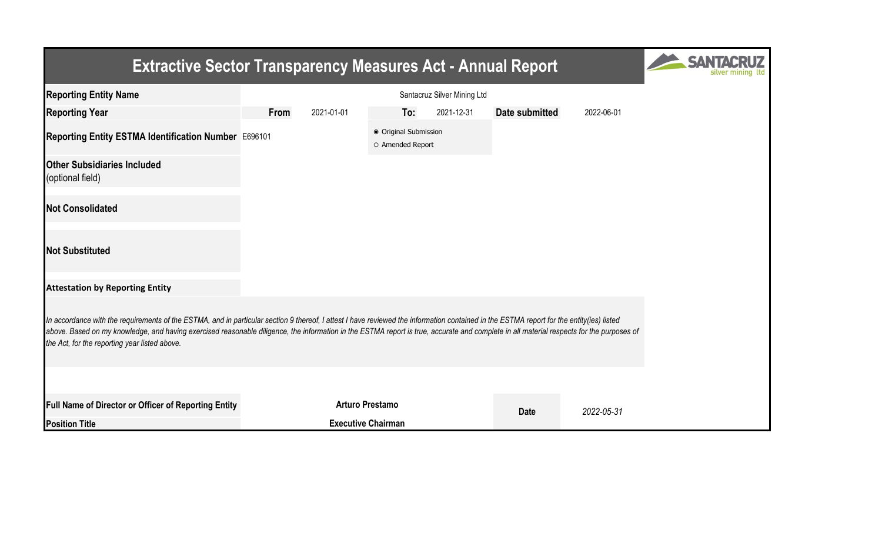## **Extractive Sector Transparency Measures Act - Annual Report**



| <b>Reporting Entity Name</b>                                                                                                                                                                                                                                                                                                                                                                                                          |      |                        |                                           | Santacruz Silver Mining Ltd |                |            |
|---------------------------------------------------------------------------------------------------------------------------------------------------------------------------------------------------------------------------------------------------------------------------------------------------------------------------------------------------------------------------------------------------------------------------------------|------|------------------------|-------------------------------------------|-----------------------------|----------------|------------|
| <b>Reporting Year</b>                                                                                                                                                                                                                                                                                                                                                                                                                 | From | 2021-01-01             | To:                                       | 2021-12-31                  | Date submitted | 2022-06-01 |
| Reporting Entity ESTMA Identification Number E696101                                                                                                                                                                                                                                                                                                                                                                                  |      |                        | ● Original Submission<br>O Amended Report |                             |                |            |
| <b>Other Subsidiaries Included</b><br>(optional field)                                                                                                                                                                                                                                                                                                                                                                                |      |                        |                                           |                             |                |            |
| <b>Not Consolidated</b>                                                                                                                                                                                                                                                                                                                                                                                                               |      |                        |                                           |                             |                |            |
| <b>Not Substituted</b>                                                                                                                                                                                                                                                                                                                                                                                                                |      |                        |                                           |                             |                |            |
| <b>Attestation by Reporting Entity</b>                                                                                                                                                                                                                                                                                                                                                                                                |      |                        |                                           |                             |                |            |
| In accordance with the requirements of the ESTMA, and in particular section 9 thereof, I attest I have reviewed the information contained in the ESTMA report for the entity(ies) listed<br>above. Based on my knowledge, and having exercised reasonable diligence, the information in the ESTMA report is true, accurate and complete in all material respects for the purposes of<br>the Act, for the reporting year listed above. |      |                        |                                           |                             |                |            |
|                                                                                                                                                                                                                                                                                                                                                                                                                                       |      |                        |                                           |                             |                |            |
| Full Name of Director or Officer of Reporting Entity                                                                                                                                                                                                                                                                                                                                                                                  |      | <b>Arturo Prestamo</b> |                                           |                             | Date           | 2022-05-31 |
| <b>Position Title</b>                                                                                                                                                                                                                                                                                                                                                                                                                 |      |                        | <b>Executive Chairman</b>                 |                             |                |            |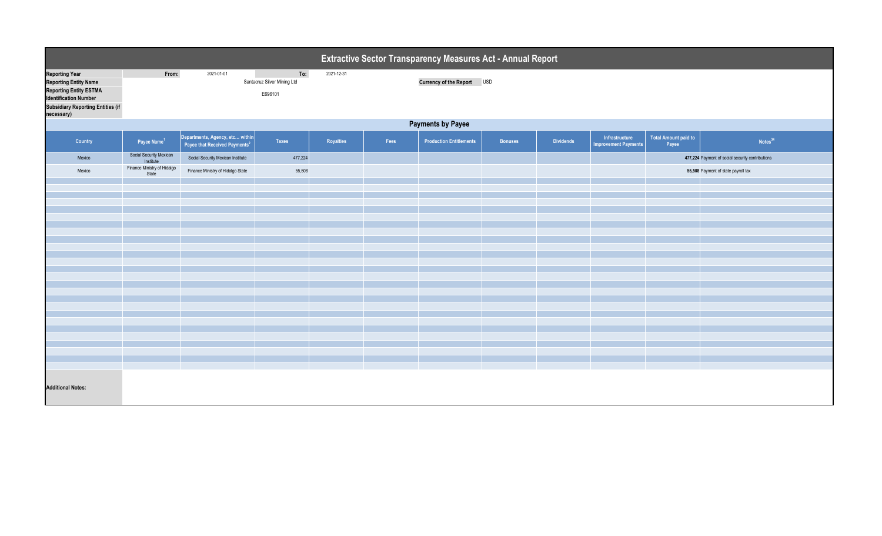| Extractive Sector Transparency Measures Act - Annual Report                                                                                                                      |                                      |                                                                              |                                               |            |      |                                |                |                  |                                               |                                      |                                                  |  |
|----------------------------------------------------------------------------------------------------------------------------------------------------------------------------------|--------------------------------------|------------------------------------------------------------------------------|-----------------------------------------------|------------|------|--------------------------------|----------------|------------------|-----------------------------------------------|--------------------------------------|--------------------------------------------------|--|
| <b>Reporting Year</b><br><b>Reporting Entity Name</b><br><b>Reporting Entity ESTMA</b><br><b>Identification Number</b><br><b>Subsidiary Reporting Entities (if</b><br>necessary) | From:                                | 2021-01-01                                                                   | To:<br>Santacruz Silver Mining Ltd<br>E696101 | 2021-12-31 |      | Currency of the Report USD     |                |                  |                                               |                                      |                                                  |  |
| <b>Payments by Payee</b>                                                                                                                                                         |                                      |                                                                              |                                               |            |      |                                |                |                  |                                               |                                      |                                                  |  |
| Country                                                                                                                                                                          | Payee Name <sup>1</sup>              | Departments, Agency, etc within<br>Payee that Received Payments <sup>2</sup> | Taxes                                         | Royalties  | Fees | <b>Production Entitlements</b> | <b>Bonuses</b> | <b>Dividends</b> | Infrastructure<br><b>Improvement Payments</b> | <b>Total Amount paid to</b><br>Payee | Notes <sup>34</sup>                              |  |
| Mexico                                                                                                                                                                           | Social Security Mexican<br>Institute | Social Security Mexican Institute                                            | 477,224                                       |            |      |                                |                |                  |                                               |                                      | 477,224 Payment of social security contributions |  |
| Mexico                                                                                                                                                                           | Finance Ministry of Hidalgo<br>State | Finance Ministry of Hidalgo State                                            | 55,508                                        |            |      |                                |                |                  |                                               | 55,508 Payment of state payroll tax  |                                                  |  |
|                                                                                                                                                                                  |                                      |                                                                              |                                               |            |      |                                |                |                  |                                               |                                      |                                                  |  |
|                                                                                                                                                                                  |                                      |                                                                              |                                               |            |      |                                |                |                  |                                               |                                      |                                                  |  |
|                                                                                                                                                                                  |                                      |                                                                              |                                               |            |      |                                |                |                  |                                               |                                      |                                                  |  |
|                                                                                                                                                                                  |                                      |                                                                              |                                               |            |      |                                |                |                  |                                               |                                      |                                                  |  |
|                                                                                                                                                                                  |                                      |                                                                              |                                               |            |      |                                |                |                  |                                               |                                      |                                                  |  |
|                                                                                                                                                                                  |                                      |                                                                              |                                               |            |      |                                |                |                  |                                               |                                      |                                                  |  |
|                                                                                                                                                                                  |                                      |                                                                              |                                               |            |      |                                |                |                  |                                               |                                      |                                                  |  |
|                                                                                                                                                                                  |                                      |                                                                              |                                               |            |      |                                |                |                  |                                               |                                      |                                                  |  |
|                                                                                                                                                                                  |                                      |                                                                              |                                               |            |      |                                |                |                  |                                               |                                      |                                                  |  |
|                                                                                                                                                                                  |                                      |                                                                              |                                               |            |      |                                |                |                  |                                               |                                      |                                                  |  |
|                                                                                                                                                                                  |                                      |                                                                              |                                               |            |      |                                |                |                  |                                               |                                      |                                                  |  |
|                                                                                                                                                                                  |                                      |                                                                              |                                               |            |      |                                |                |                  |                                               |                                      |                                                  |  |
|                                                                                                                                                                                  |                                      |                                                                              |                                               |            |      |                                |                |                  |                                               |                                      |                                                  |  |
|                                                                                                                                                                                  |                                      |                                                                              |                                               |            |      |                                |                |                  |                                               |                                      |                                                  |  |
|                                                                                                                                                                                  |                                      |                                                                              |                                               |            |      |                                |                |                  |                                               |                                      |                                                  |  |
|                                                                                                                                                                                  |                                      |                                                                              |                                               |            |      |                                |                |                  |                                               |                                      |                                                  |  |
|                                                                                                                                                                                  |                                      |                                                                              |                                               |            |      |                                |                |                  |                                               |                                      |                                                  |  |
|                                                                                                                                                                                  |                                      |                                                                              |                                               |            |      |                                |                |                  |                                               |                                      |                                                  |  |
|                                                                                                                                                                                  |                                      |                                                                              |                                               |            |      |                                |                |                  |                                               |                                      |                                                  |  |
| <b>Additional Notes:</b>                                                                                                                                                         |                                      |                                                                              |                                               |            |      |                                |                |                  |                                               |                                      |                                                  |  |